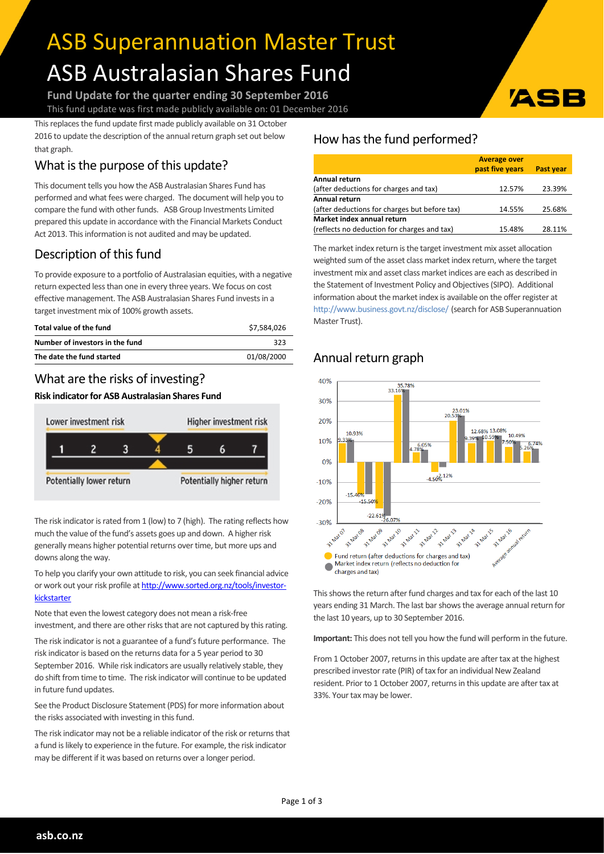# ASB Superannuation Master Trust ASB Australasian Shares Fund

**Fund Update for the quarter ending 30 September 2016** This fund update was first made publicly available on: 01 December 2016

This replaces the fund update first made publicly available on 31 October 2016 to update the description of the annual return graph set out below that graph.

# What is the purpose of this update?

This document tells you how the ASB Australasian Shares Fund has performed and what fees were charged. The document will help you to compare the fund with other funds. ASB Group Investments Limited prepared this update in accordance with the Financial Markets Conduct Act 2013. This information is not audited and may be updated.

# Description of this fund

To provide exposure to a portfolio of Australasian equities, with a negative return expected less than one in every three years. We focus on cost effective management. The ASB Australasian Shares Fund invests in a target investment mix of 100% growth assets.

| Total value of the fund         | \$7.584.026 |
|---------------------------------|-------------|
| Number of investors in the fund | 323         |
| The date the fund started       | 01/08/2000  |

## What are the risks of investing?

#### **Risk indicatorfor ASB Australasian Shares Fund**



The risk indicator is rated from 1 (low) to 7 (high). The rating reflects how much the value of the fund's assets goes up and down. A higher risk generally means higher potential returns over time, but more ups and downs along the way.

To help you clarify your own attitude to risk, you can seek financial advice or work out your risk profile at [http://www.sorted.org.nz/tools/investor](http://www.sorted.org.nz/tools/investor-kickstarter)[kickstarter](http://www.sorted.org.nz/tools/investor-kickstarter)

Note that even the lowest category does not mean a risk-free investment, and there are other risks that are not captured by this rating.

The risk indicator is not a guarantee of a fund's future performance. The risk indicator is based on the returns data for a 5 year period to 30 September 2016. While risk indicators are usually relatively stable, they do shift from time to time. The risk indicator will continue to be updated in future fund updates.

See the Product Disclosure Statement (PDS) for more information about the risks associated with investing in this fund.

The risk indicator may not be a reliable indicator of the risk or returns that a fund is likely to experience in the future. For example, the risk indicator may be different if it was based on returns over a longer period.

### How has the fund performed?

|                                               | <b>Average over</b> |           |
|-----------------------------------------------|---------------------|-----------|
|                                               | past five years     | Past year |
| Annual return                                 |                     |           |
| (after deductions for charges and tax)        | 12.57%              | 23.39%    |
| Annual return                                 |                     |           |
| (after deductions for charges but before tax) | 14.55%              | 25.68%    |
| Market index annual return                    |                     |           |
| (reflects no deduction for charges and tax)   | 15.48%              | 28.11%    |

The market index return is the target investment mix asset allocation weighted sum of the asset class market index return, where the target investment mix and asset class market indices are each as described in the Statement of Investment Policy and Objectives(SIPO). Additional information about the market index is available on the offer register at <http://www.business.govt.nz/disclose/> (search for ASB Superannuation Master Trust).

## Annual return graph



This shows the return after fund charges and tax for each of the last 10 years ending 31 March. The last bar shows the average annual return for the last 10 years, up to 30 September 2016.

**Important:** This does not tell you how the fund will perform in the future.

From 1 October 2007, returns in this update are after tax at the highest prescribed investor rate (PIR) of tax for an individual New Zealand resident. Prior to 1 October 2007, returns in this update are after tax at 33%. Your tax may be lower.

ASI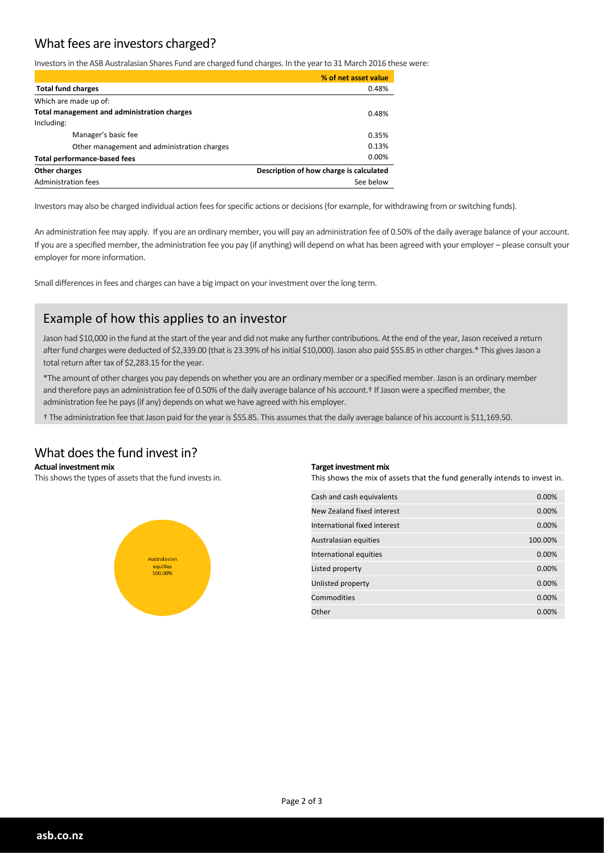#### What fees are investors charged?

Investors in the ASB Australasian Shares Fund are charged fund charges. In the year to 31 March 2016 these were:

|                                                          | % of net asset value |
|----------------------------------------------------------|----------------------|
| <b>Total fund charges</b>                                | 0.48%                |
| Which are made up of:                                    |                      |
| Total management and administration charges              | 0.48%                |
| Including:                                               |                      |
| Manager's basic fee                                      | 0.35%                |
| Other management and administration charges              | 0.13%                |
| <b>Total performance-based fees</b>                      | $0.00\%$             |
| Description of how charge is calculated<br>Other charges |                      |
| Administration fees                                      | See below            |

Investors may also be charged individual action fees for specific actions or decisions (for example, for withdrawing from or switching funds).

An administration fee may apply. If you are an ordinary member, you will pay an administration fee of 0.50% of the daily average balance of your account. If you are a specified member, the administration fee you pay (if anything) will depend on what has been agreed with your employer – please consult your employer for more information.

Small differences in fees and charges can have a big impact on your investment over the long term.

#### Example of how this applies to an investor

Jason had \$10,000 in the fund at the start of the year and did not make any further contributions. At the end of the year, Jason received a return after fund charges were deducted of \$2,339.00 (that is 23.39% of his initial \$10,000). Jason also paid \$55.85 in other charges.\* This gives Jason a total return after tax of \$2,283.15 for the year.

\*The amount of other charges you pay depends on whether you are an ordinary member or a specified member. Jason is an ordinary member and therefore pays an administration fee of 0.50% of the daily average balance of his account.† If Jason were a specified member, the administration fee he pays(if any) depends on what we have agreed with his employer.

† The administration fee that Jason paid forthe yearis \$55.85. This assumesthat the daily average balance of his account is \$11,169.50.

#### What does the fund invest in?

#### **Actual investment mix**

This shows the types of assets that the fund invests in.



#### **Target investment mix**

This shows the mix of assets that the fund generally intends to invest in.

| Cash and cash equivalents    | 0.00%    |
|------------------------------|----------|
| New Zealand fixed interest   | 0.00%    |
| International fixed interest | 0.00%    |
| Australasian equities        | 100.00%  |
| International equities       | $0.00\%$ |
| Listed property              | 0.00%    |
| Unlisted property            | 0.00%    |
| Commodities                  | 0.00%    |
| Other                        | 0.00%    |